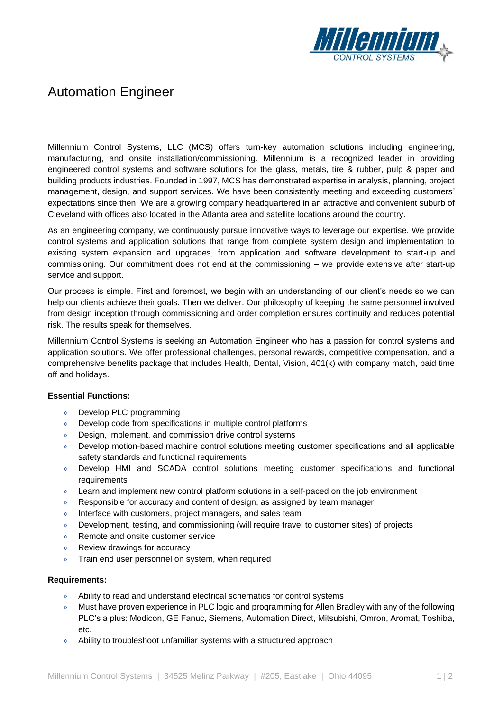

# Automation Engineer

Millennium Control Systems, LLC (MCS) offers turn-key automation solutions including engineering, manufacturing, and onsite installation/commissioning. Millennium is a recognized leader in providing engineered control systems and software solutions for the glass, metals, tire & rubber, pulp & paper and building products industries. Founded in 1997, MCS has demonstrated expertise in analysis, planning, project management, design, and support services. We have been consistently meeting and exceeding customers' expectations since then. We are a growing company headquartered in an attractive and convenient suburb of Cleveland with offices also located in the Atlanta area and satellite locations around the country.

As an engineering company, we continuously pursue innovative ways to leverage our expertise. We provide control systems and application solutions that range from complete system design and implementation to existing system expansion and upgrades, from application and software development to start-up and commissioning. Our commitment does not end at the commissioning – we provide extensive after start-up service and support.

Our process is simple. First and foremost, we begin with an understanding of our client's needs so we can help our clients achieve their goals. Then we deliver. Our philosophy of keeping the same personnel involved from design inception through commissioning and order completion ensures continuity and reduces potential risk. The results speak for themselves.

Millennium Control Systems is seeking an Automation Engineer who has a passion for control systems and application solutions. We offer professional challenges, personal rewards, competitive compensation, and a comprehensive benefits package that includes Health, Dental, Vision, 401(k) with company match, paid time off and holidays.

## **Essential Functions:**

- » Develop PLC programming
- » Develop code from specifications in multiple control platforms
- » Design, implement, and commission drive control systems
- » Develop motion-based machine control solutions meeting customer specifications and all applicable safety standards and functional requirements
- » Develop HMI and SCADA control solutions meeting customer specifications and functional requirements
- » Learn and implement new control platform solutions in a self-paced on the job environment
- » Responsible for accuracy and content of design, as assigned by team manager
- » Interface with customers, project managers, and sales team
- » Development, testing, and commissioning (will require travel to customer sites) of projects
- » Remote and onsite customer service
- » Review drawings for accuracy
- » Train end user personnel on system, when required

### **Requirements:**

- » Ability to read and understand electrical schematics for control systems
- » Must have proven experience in PLC logic and programming for Allen Bradley with any of the following PLC's a plus: Modicon, GE Fanuc, Siemens, Automation Direct, Mitsubishi, Omron, Aromat, Toshiba, etc.
- » Ability to troubleshoot unfamiliar systems with a structured approach